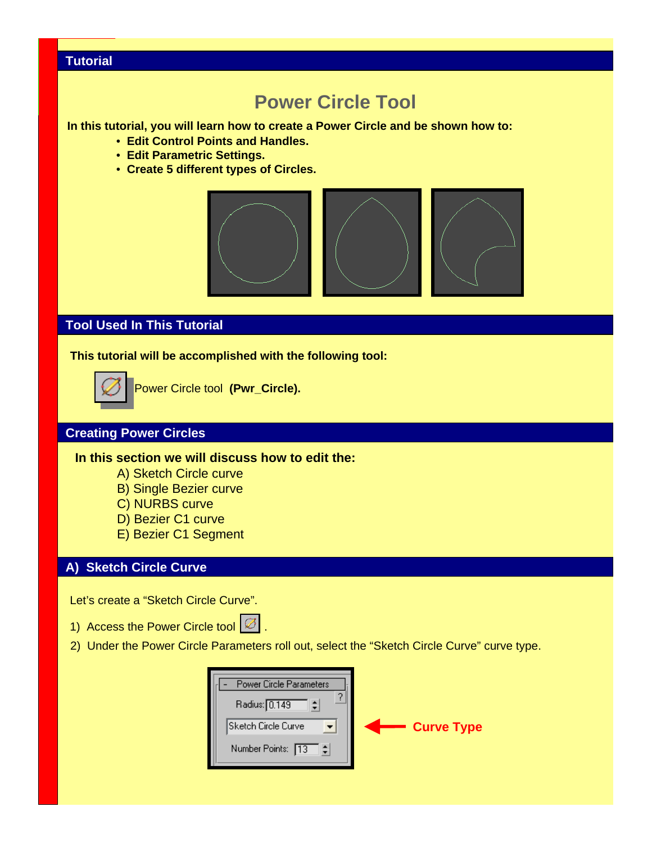# **Tutorial**

# **Power Circle Tool**

**In this tutorial, you will learn how to create a Power Circle and be shown how to:**

- **Edit Control Points and Handles.**
- **Edit Parametric Settings.**
- **Create 5 different types of Circles.**



# **Tool Used In This Tutorial**

**This tutorial will be accomplished with the following tool:**



Power Circle tool **(Pwr\_Circle).**

## **Creating Power Circles**

**In this section we will discuss how to edit the:**

- A) Sketch Circle curve
- B) Single Bezier curve
- C) NURBS curve
- D) Bezier C1 curve
- E) Bezier C1 Segment

#### **A) Sketch Circle Curve**

Let's create a "Sketch Circle Curve".

- 1) Access the Power Circle tool  $\boxed{\varnothing}$ .
- 2) Under the Power Circle Parameters roll out, select the "Sketch Circle Curve" curve type.

| <b>Power Circle Parameters</b> |                   |
|--------------------------------|-------------------|
| Radius: 0.149                  |                   |
| Sketch Circle Curve            | <b>Curve Type</b> |
| Number Points: [13]            |                   |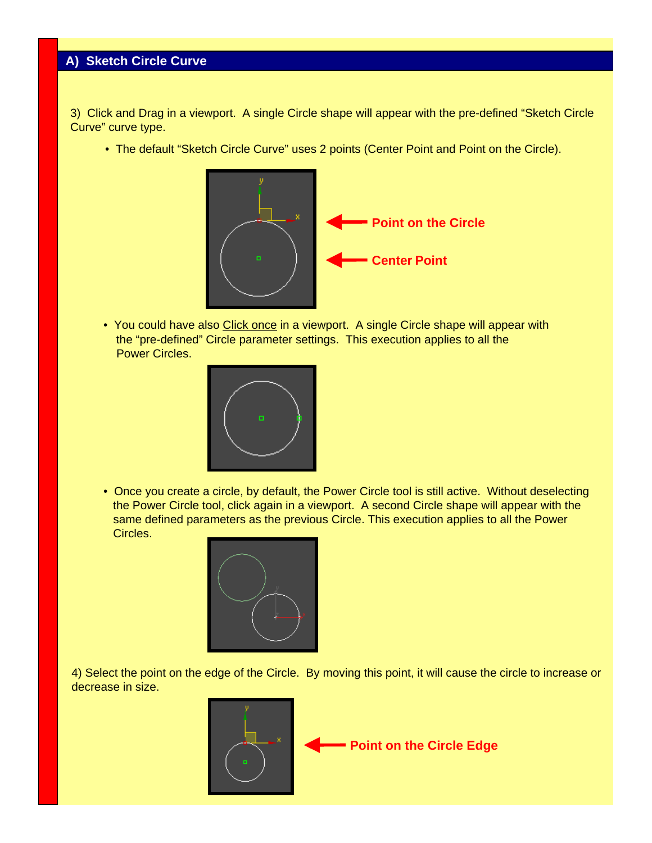3) Click and Drag in a viewport. A single Circle shape will appear with the pre-defined "Sketch Circle Curve" curve type.

• The default "Sketch Circle Curve" uses 2 points (Center Point and Point on the Circle).



• You could have also Click once in a viewport. A single Circle shape will appear with the "pre-defined" Circle parameter settings. This execution applies to all the Power Circles.



• Once you create a circle, by default, the Power Circle tool is still active. Without deselecting the Power Circle tool, click again in a viewport. A second Circle shape will appear with the same defined parameters as the previous Circle. This execution applies to all the Power Circles.



4) Select the point on the edge of the Circle. By moving this point, it will cause the circle to increase or decrease in size.

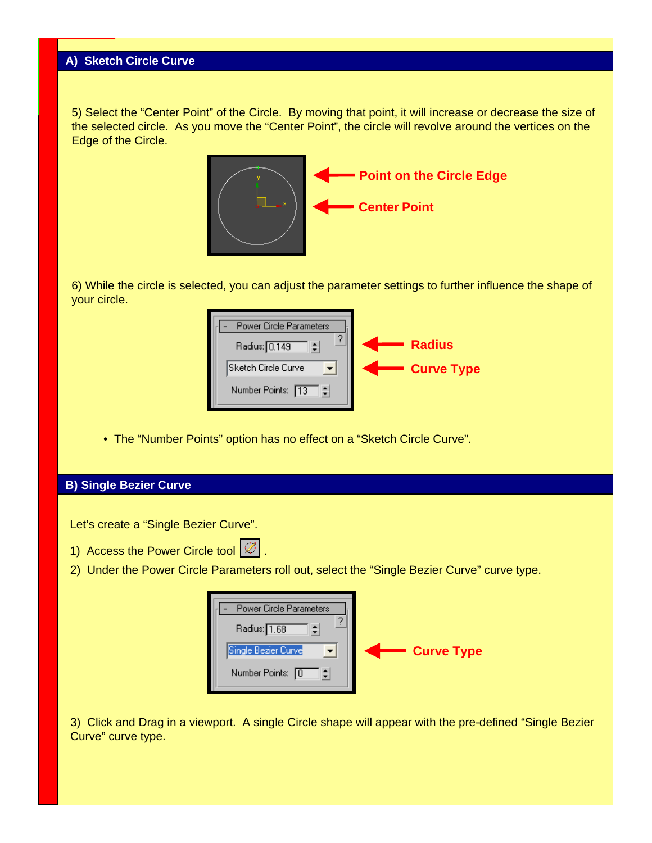5) Select the "Center Point" of the Circle. By moving that point, it will increase or decrease the size of the selected circle. As you move the "Center Point", the circle will revolve around the vertices on the Edge of the Circle.



6) While the circle is selected, you can adjust the parameter settings to further influence the shape of your circle.

| <b>Power Circle Parameters</b><br>Radius: 0.149 | <b>Radius</b>     |
|-------------------------------------------------|-------------------|
| Sketch Circle Curve                             | <b>Curve Type</b> |
| Number Points: 13                               |                   |

• The "Number Points" option has no effect on a "Sketch Circle Curve".

### **B) Single Bezier Curve**

Let's create a "Single Bezier Curve".

- 1) Access the Power Circle tool  $\boxed{\varnothing}$ .
- 2) Under the Power Circle Parameters roll out, select the "Single Bezier Curve" curve type.

| Power Circle Parameters<br>Radius: 1.68 |                   |
|-----------------------------------------|-------------------|
| Single Bezier Curve                     | <b>Curve Type</b> |
| Number Points: 0                        |                   |

3) Click and Drag in a viewport. A single Circle shape will appear with the pre-defined "Single Bezier Curve" curve type.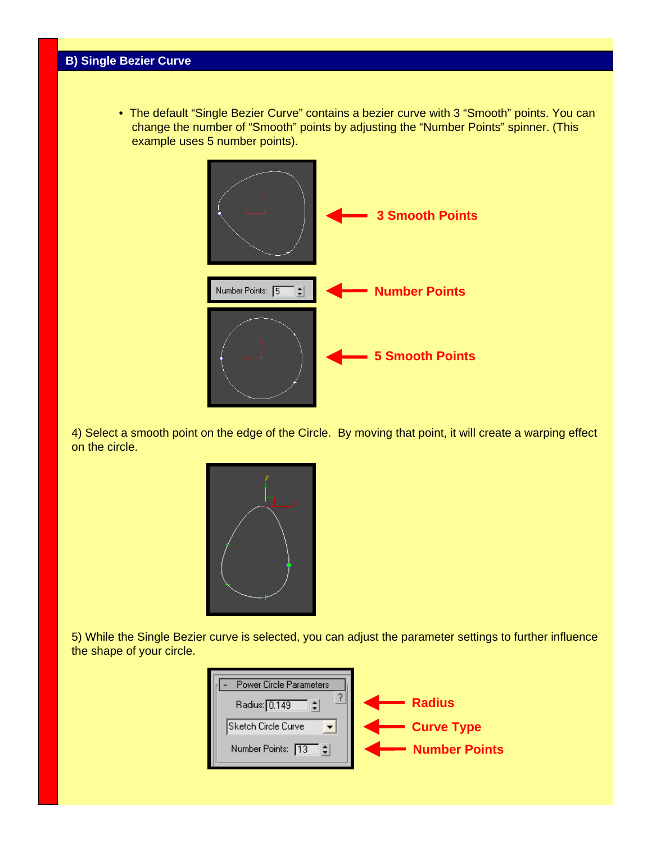• The default "Single Bezier Curve" contains a bezier curve with 3 "Smooth" points. You can change the number of "Smooth" points by adjusting the "Number Points" spinner. (This example uses 5 number points).



4) Select a smooth point on the edge of the Circle. By moving that point, it will create a warping effect on the circle.



5) While the Single Bezier curve is selected, you can adjust the parameter settings to further influence the shape of your circle.

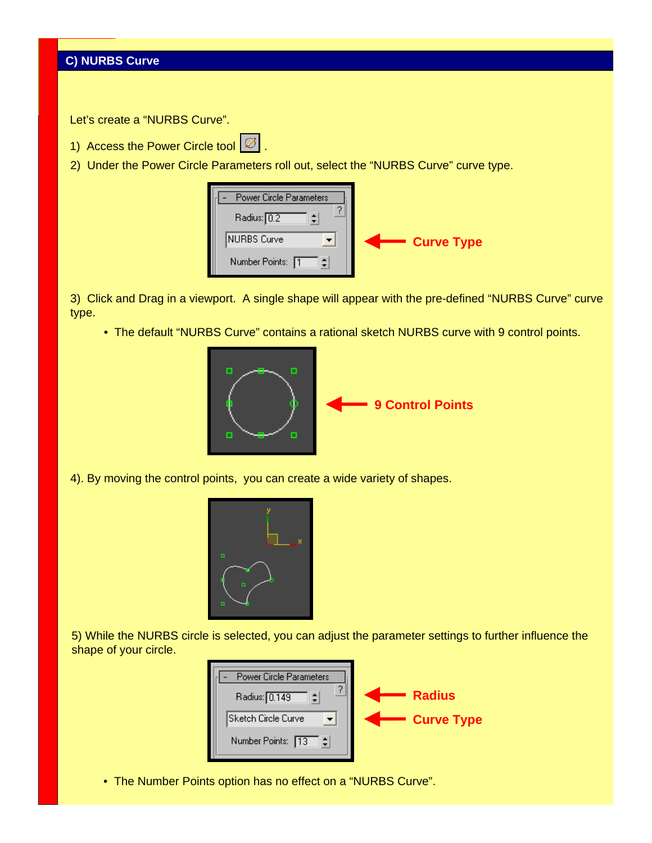Let's create a "NURBS Curve".

- 1) Access the Power Circle tool  $\boxed{\varnothing}$
- 2) Under the Power Circle Parameters roll out, select the "NURBS Curve" curve type.

| Power Circle Parameters<br>Radius: 0.2 |                   |
|----------------------------------------|-------------------|
| <b>INURBS Curve</b>                    | <b>Curve Type</b> |
| Number Points: 1                       |                   |

3) Click and Drag in a viewport. A single shape will appear with the pre-defined "NURBS Curve" curve type.

• The default "NURBS Curve" contains a rational sketch NURBS curve with 9 control points.



4). By moving the control points, you can create a wide variety of shapes.



5) While the NURBS circle is selected, you can adjust the parameter settings to further influence the shape of your circle.



• The Number Points option has no effect on a "NURBS Curve".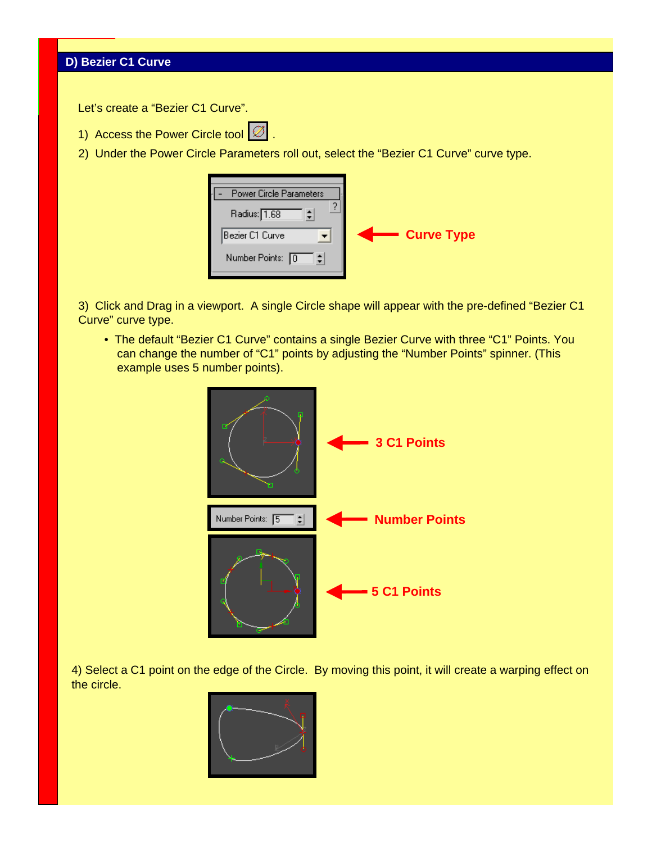Let's create a "Bezier C1 Curve".

- 1) Access the Power Circle tool  $\varnothing$
- 2) Under the Power Circle Parameters roll out, select the "Bezier C1 Curve" curve type.

| <b>Power Circle Parameters</b><br>Radius: 1.68 |                   |
|------------------------------------------------|-------------------|
| Bezier C1 Curve                                | <b>Curve Type</b> |
| Number Points: 0                               |                   |

3) Click and Drag in a viewport. A single Circle shape will appear with the pre-defined "Bezier C1 Curve" curve type.

• The default "Bezier C1 Curve" contains a single Bezier Curve with three "C1" Points. You can change the number of "C1" points by adjusting the "Number Points" spinner. (This example uses 5 number points).



4) Select a C1 point on the edge of the Circle. By moving this point, it will create a warping effect on the circle.

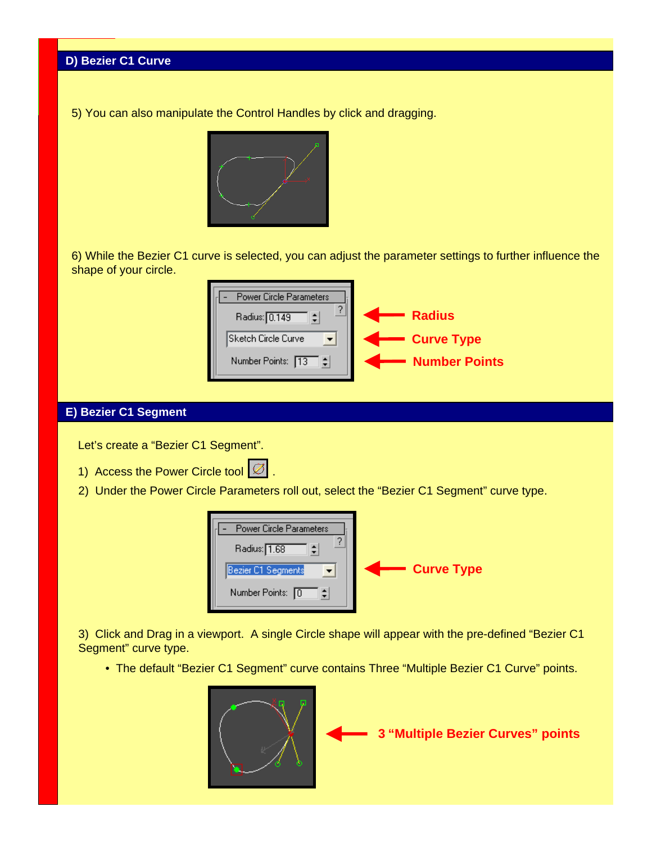5) You can also manipulate the Control Handles by click and dragging.



6) While the Bezier C1 curve is selected, you can adjust the parameter settings to further influence the shape of your circle.



### **E) Bezier C1 Segment**

Let's create a "Bezier C1 Segment".

- 1) Access the Power Circle tool  $\boxed{\varnothing}$
- 2) Under the Power Circle Parameters roll out, select the "Bezier C1 Segment" curve type.



3) Click and Drag in a viewport. A single Circle shape will appear with the pre-defined "Bezier C1 Segment" curve type.

• The default "Bezier C1 Segment" curve contains Three "Multiple Bezier C1 Curve" points.



**3 "Multiple Bezier Curves" points**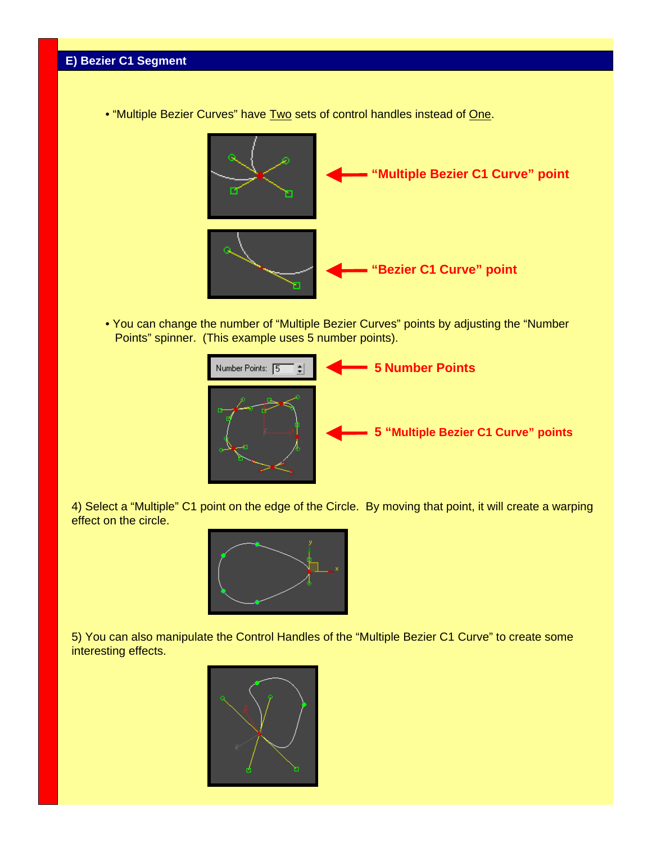• "Multiple Bezier Curves" have Two sets of control handles instead of One.



• You can change the number of "Multiple Bezier Curves" points by adjusting the "Number Points" spinner. (This example uses 5 number points).



4) Select a "Multiple" C1 point on the edge of the Circle. By moving that point, it will create a warping effect on the circle.



5) You can also manipulate the Control Handles of the "Multiple Bezier C1 Curve" to create some interesting effects.